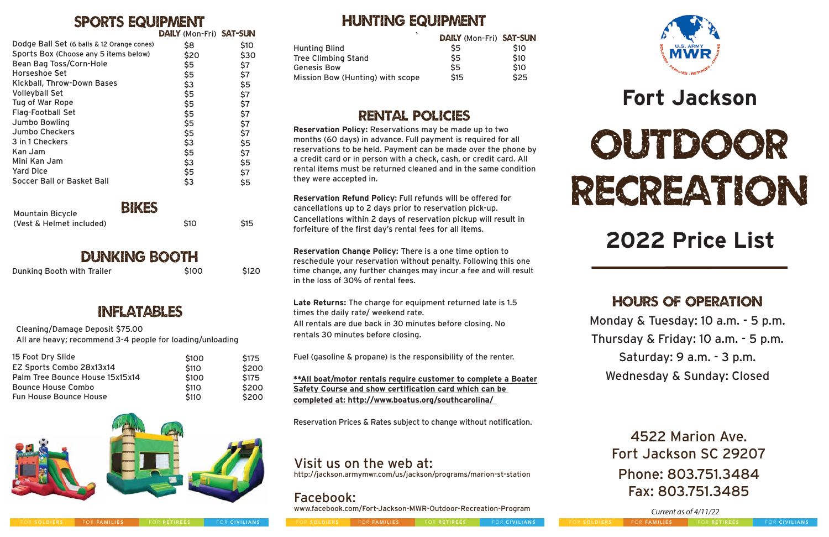*Current as of 4/11/22*

## **Fort Jackson**



# RECREATION

## **2022 Price List**

#### hours of Operation

4522 Marion Ave. Fort Jackson SC 29207 Phone: 803.751.3484 Fax: 803.751.3485

#### Rental Policies

### Hunting equipment

Monday & Tuesday: 10 a.m. - 5 p.m. Thursday & Friday: 10 a.m. - 5 p.m. Saturday: 9 a.m. - 3 p.m. Wednesday & Sunday: Closed

#### Visit us on the web at:

http://jackson.armymwr.com/us/jackson/programs/marion-st-station

#### Facebook:

www.facebook.com/Fort-Jackson-MWR-Outdoor-Recreation-Program





**Reservation Policy:** Reservations may be made up to two months (60 days) in advance. Full payment is required for all reservations to be held. Payment can be made over the phone by a credit card or in person with a check, cash, or credit card. All rental items must be returned cleaned and in the same condition they were accepted in.

**Reservation Refund Policy:** Full refunds will be offered for cancellations up to 2 days prior to reservation pick-up. Cancellations within 2 days of reservation pickup will result in forfeiture of the first day's rental fees for all items.

**Reservation Change Policy:** There is a one time option to reschedule your reservation without penalty. Following this one time change, any further changes may incur a fee and will result in the loss of 30% of rental fees.

**Late Returns:** The charge for equipment returned late is 1.5 times the daily rate/ weekend rate. All rentals are due back in 30 minutes before closing. No rentals 30 minutes before closing.

Fuel (gasoline & propane) is the responsibility of the renter.

**\*\*All boat/motor rentals require customer to complete a Boater Safety Course and show certification card which can be completed at: http://www.boatus.org/southcarolina/** 

Reservation Prices & Rates subject to change without notification.

#### Sports equipment

#### Inflatables

|                                            | <b>DAILY (MON-Fri) SAT-SUN</b> |       |
|--------------------------------------------|--------------------------------|-------|
| Dodge Ball Set (6 balls & 12 Orange cones) | \$8                            | \$10  |
| Sports Box (Choose any 5 items below)      | \$20                           | \$30  |
| Bean Bag Toss/Corn-Hole                    | \$5                            | \$7   |
| Horseshoe Set                              | \$5                            | \$7   |
| Kickball, Throw-Down Bases                 | \$3                            | \$5   |
| <b>Volleyball Set</b>                      | \$5                            | \$7   |
| Tug of War Rope                            | \$5                            | \$7   |
| <b>Flag-Football Set</b>                   | \$5                            | \$7   |
| <b>Jumbo Bowling</b>                       | \$5                            | \$7   |
| <b>Jumbo Checkers</b>                      | \$5                            | \$7   |
| 3 in 1 Checkers                            | \$3                            | \$5   |
| Kan Jam                                    | \$5                            | \$7   |
| Mini Kan Jam                               | \$3                            | \$5   |
| <b>Yard Dice</b>                           | \$5                            | \$7   |
| <b>Soccer Ball or Basket Ball</b>          | \$3                            | \$5   |
| BIKES                                      |                                |       |
| <b>Mountain Bicycle</b>                    |                                |       |
| (Vest & Helmet included)                   | \$10                           | \$15  |
|                                            |                                |       |
| DUNKING BOOTH                              |                                |       |
| Dunking Booth with Trailer                 | \$100                          | \$120 |

Cleaning/Damage Deposit \$75.00 All are heavy; recommend 3-4 people for loading/unloading

| 15 Foot Dry Slide               | \$100        | <b>S175</b>  |
|---------------------------------|--------------|--------------|
| EZ Sports Combo 28x13x14        | <b>\$110</b> | \$200        |
| Palm Tree Bounce House 15x15x14 | \$100        | <b>\$175</b> |
| <b>Bounce House Combo</b>       | <b>\$110</b> | \$200        |
| <b>Fun House Bounce House</b>   | <b>\$110</b> | \$200        |



| DAILY (Mon-Fri) SAT-SUN |           |                                  | DAILY (Mon-Fri) SAT-SUN |      |
|-------------------------|-----------|----------------------------------|-------------------------|------|
| \$8                     | S10       | <b>Hunting Blind</b>             | \$5                     | \$10 |
| \$20                    | \$30      | <b>Tree Climbing Stand</b>       | \$5                     | \$10 |
| \$5                     | \$7       | <b>Genesis Bow</b>               | \$5                     | \$10 |
| \$5<br>$\uparrow$       | \$7<br>*- | Mission Bow (Hunting) with scope | \$15                    | \$25 |